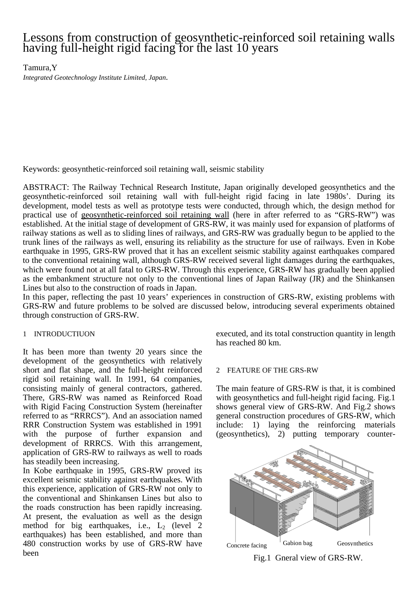# Lessons from construction of geosynthetic-reinforced soil retaining walls having full-height rigid facing for the last 10 years

Tamura,Y

*Integrated Geotechnology Institute Limited, Japan*.

Keywords: geosynthetic-reinforced soil retaining wall, seismic stability

ABSTRACT: The Railway Technical Research Institute, Japan originally developed geosynthetics and the geosynthetic-reinforced soil retaining wall with full-height rigid facing in late 1980s'. During its development, model tests as well as prototype tests were conducted, through which, the design method for practical use of geosynthetic-reinforced soil retaining wall (here in after referred to as "GRS-RW") was established. At the initial stage of development of GRS-RW, it was mainly used for expansion of platforms of railway stations as well as to sliding lines of railways, and GRS-RW was gradually begun to be applied to the trunk lines of the railways as well, ensuring its reliability as the structure for use of railways. Even in Kobe earthquake in 1995, GRS-RW proved that it has an excellent seismic stability against earthquakes compared to the conventional retaining wall, although GRS-RW received several light damages during the earthquakes, which were found not at all fatal to GRS-RW. Through this experience, GRS-RW has gradually been applied as the embankment structure not only to the conventional lines of Japan Railway (JR) and the Shinkansen Lines but also to the construction of roads in Japan.

In this paper, reflecting the past 10 years' experiences in construction of GRS-RW, existing problems with GRS-RW and future problems to be solved are discussed below, introducing several experiments obtained through construction of GRS-RW.

## 1 INTRODUCTIUON

It has been more than twenty 20 years since the development of the geosynthetics with relatively short and flat shape, and the full-height reinforced rigid soil retaining wall. In 1991, 64 companies, consisting mainly of general contractors, gathered. There, GRS-RW was named as Reinforced Road with Rigid Facing Construction System (hereinafter referred to as "RRRCS"). And an association named RRR Construction System was established in 1991 with the purpose of further expansion and development of RRRCS. With this arrangement, application of GRS-RW to railways as well to roads has steadily been increasing.

In Kobe earthquake in 1995, GRS-RW proved its excellent seismic stability against earthquakes. With this experience, application of GRS-RW not only to the conventional and Shinkansen Lines but also to the roads construction has been rapidly increasing. At present, the evaluation as well as the design method for big earthquakes, i.e.,  $L_2$  (level 2 earthquakes) has been established, and more than 480 construction works by use of GRS-RW have been

executed, and its total construction quantity in length has reached 80 km.

## 2 FEATURE OF THE GRS-RW

The main feature of GRS-RW is that, it is combined with geosynthetics and full-height rigid facing. Fig.1 shows general view of GRS-RW. And Fig.2 shows general construction procedures of GRS-RW, which include: 1) laying the reinforcing materials (geosynthetics), 2) putting temporary counter-



Fig.1 Gneral view of GRS-RW.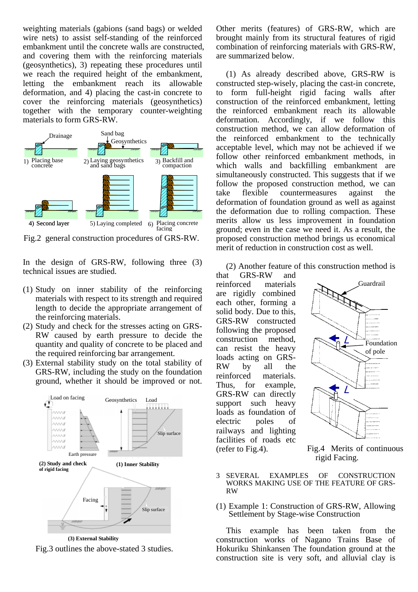weighting materials (gabions (sand bags) or welded wire nets) to assist self-standing of the reinforced embankment until the concrete walls are constructed, and covering them with the reinforcing materials (geosynthetics), 3) repeating these procedures until we reach the required height of the embankment, letting the embankment reach its allowable deformation, and 4) placing the cast-in concrete to cover the reinforcing materials (geosynthetics) together with the temporary counter-weighting materials to form GRS-RW.



Fig.2 general construction procedures of GRS-RW.

In the design of GRS-RW, following three (3) technical issues are studied.

- (1) Study on inner stability of the reinforcing materials with respect to its strength and required length to decide the appropriate arrangement of the reinforcing materials.
- (2) Study and check for the stresses acting on GRS-RW caused by earth pressure to decide the quantity and quality of concrete to be placed and the required reinforcing bar arrangement.
- (3) External stability study on the total stability of GRS-RW, including the study on the foundation ground, whether it should be improved or not.



Fig.3 outlines the above-stated 3 studies. **(3) External Stability** 

Other merits (features) of GRS-RW, which are brought mainly from its structural features of rigid combination of reinforcing materials with GRS-RW, are summarized below.

(1) As already described above, GRS-RW is constructed step-wisely, placing the cast-in concrete, to form full-height rigid facing walls after construction of the reinforced embankment, letting the reinforced embankment reach its allowable deformation. Accordingly, if we follow this construction method, we can allow deformation of the reinforced embankment to the technically acceptable level, which may not be achieved if we follow other reinforced embankment methods, in which walls and backfilling embankment are simultaneously constructed. This suggests that if we follow the proposed construction method, we can take flexible countermeasures against the deformation of foundation ground as well as against the deformation due to rolling compaction. These merits allow us less improvement in foundation ground; even in the case we need it. As a result, the proposed construction method brings us economical merit of reduction in construction cost as well.

(2) Another feature of this construction method is

that GRS-RW and reinforced materials are rigidly combined each other, forming a solid body. Due to this, GRS-RW constructed following the proposed construction method, can resist the heavy loads acting on GRS-RW by all the reinforced materials. Thus, for example, GRS-RW can directly support such heavy loads as foundation of electric poles of railways and lighting facilities of roads etc (refer to Fig.4).



Fig.4 Merits of continuous

- 3 SEVERAL EXAMPLES OF CONSTRUCTION WORKS MAKING USE OF THE FEATURE OF GRS-RW
- (1) Example 1: Construction of GRS-RW, Allowing Settlement by Stage-wise Construction

This example has been taken from the construction works of Nagano Trains Base of Hokuriku Shinkansen The foundation ground at the construction site is very soft, and alluvial clay is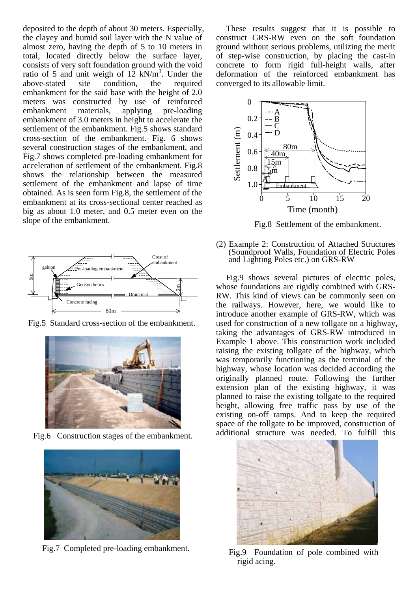deposited to the depth of about 30 meters. Especially, the clayey and humid soil layer with the N value of almost zero, having the depth of 5 to 10 meters in total, located directly below the surface layer, consists of very soft foundation ground with the void ratio of 5 and unit weigh of  $12 \text{ kN/m}^3$ . Under the above-stated site condition, the required embankment for the said base with the height of 2.0 meters was constructed by use of reinforced embankment materials, applying pre-loading embankment of 3.0 meters in height to accelerate the settlement of the embankment. Fig.5 shows standard cross-section of the embankment. Fig. 6 shows several construction stages of the embankment, and Fig.7 shows completed pre-loading embankment for acceleration of settlement of the embankment. Fig.8 shows the relationship between the measured settlement of the embankment and lapse of time obtained. As is seen form Fig.8, the settlement of the embankment at its cross-sectional center reached as big as about 1.0 meter, and 0.5 meter even on the slope of the embankment.



Fig.5 Standard cross-section of the embankment.



Fig.6 Construction stages of the embankment.



Fig.7 Completed pre-loading embankment. Fig.9 Foundation of pole combined with

These results suggest that it is possible to construct GRS-RW even on the soft foundation ground without serious problems, utilizing the merit of step-wise construction, by placing the cast-in concrete to form rigid full-height walls, after deformation of the reinforced embankment has converged to its allowable limit.



Fig.8 Settlement of the embankment.

(2) Example 2: Construction of Attached Structures (Soundproof Walls, Foundation of Electric Poles and Lighting Poles etc.) on GRS-RW

Fig.9 shows several pictures of electric poles, whose foundations are rigidly combined with GRS-RW. This kind of views can be commonly seen on the railways. However, here, we would like to introduce another example of GRS-RW, which was used for construction of a new tollgate on a highway, taking the advantages of GRS-RW introduced in Example 1 above. This construction work included raising the existing tollgate of the highway, which was temporarily functioning as the terminal of the highway, whose location was decided according the originally planned route. Following the further extension plan of the existing highway, it was planned to raise the existing tollgate to the required height, allowing free traffic pass by use of the existing on-off ramps. And to keep the required space of the tollgate to be improved, construction of additional structure was needed. To fulfill this



rigid acing.